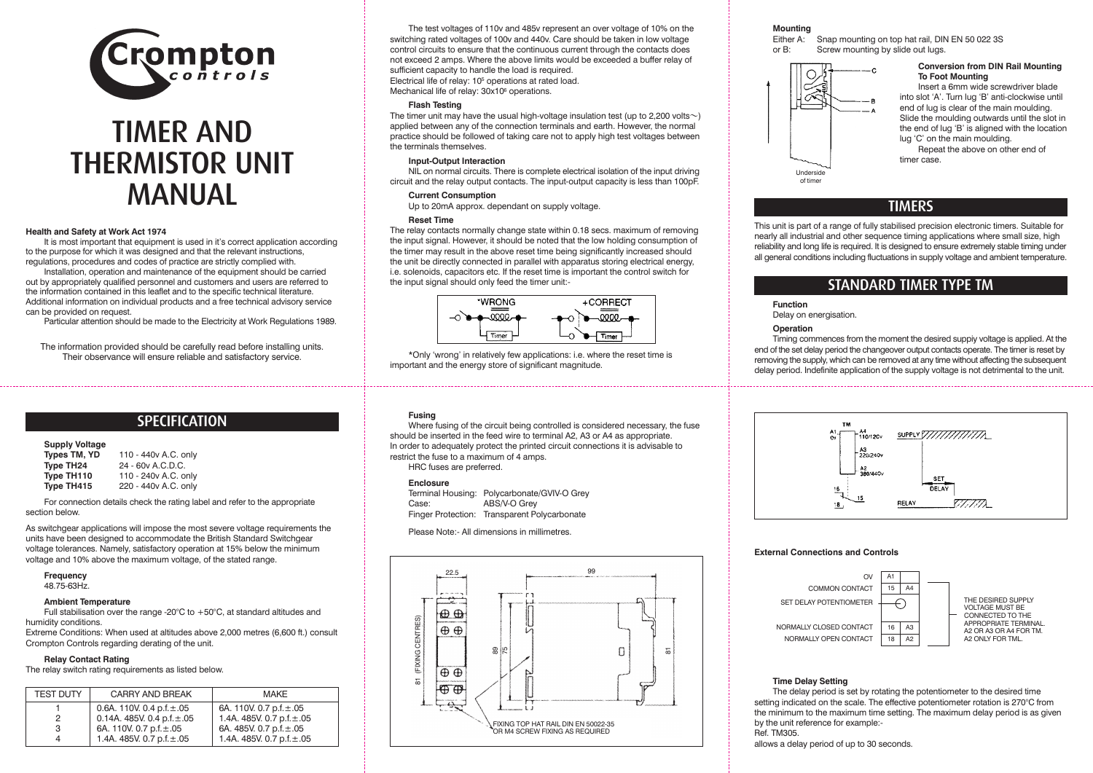

# TIMER AND THERMISTOR UNIT MANUAL

#### **Health and Safety at Work Act 1974**

It is most important that equipment is used in it's correct application according to the purpose for which it was designed and that the relevant instructions, regulations, procedures and codes of practice are strictly complied with.

Installation, operation and maintenance of the equipment should be carried out by appropriately qualified personnel and customers and users are referred to the information contained in this leaflet and to the specific technical literature. Additional information on individual products and a free technical advisory service can be provided on request.

Particular attention should be made to the Electricity at Work Regulations 1989.

The information provided should be carefully read before installing units. Their observance will ensure reliable and satisfactory service.

# **SPECIFICATION**

#### **Supply Voltage**

| Types TM, YD | 110 - 440 vA.C. only |
|--------------|----------------------|
| Type TH24    | 24 - 60v A.C.D.C.    |
| Type TH110   | 110 - 240 vA.C. only |
| Type TH415   | 220 - 440v A.C. only |

For connection details check the rating label and refer to the appropriate section below.

As switchgear applications will impose the most severe voltage requirements the units have been designed to accommodate the British Standard Switchgear voltage tolerances. Namely, satisfactory operation at 15% below the minimum voltage and 10% above the maximum voltage, of the stated range.

#### **Frequency**

48.75-63Hz.

#### **Ambient Temperature**

Full stabilisation over the range-20°C to +50°C, at standard altitudes and humidity conditions.

Extreme Conditions: When used at altitudes above 2,000 metres (6,600 ft.) consult Crompton Controls regarding derating of the unit.

#### **Relay Contact Rating**

The relay switch rating requirements as listed below.

| <b>TEST DUTY</b> | <b>CARRY AND BREAK</b>          | <b>MAKE</b>                    |
|------------------|---------------------------------|--------------------------------|
|                  | 0.6A. 110V. 0.4 p.f. $\pm$ .05  | 6A. 110V. 0.7 p.f. $\pm$ .05   |
| 2                | 0.14A. 485V. 0.4 p.f. $\pm$ .05 | 1.4A. 485V. 0.7 p.f. $\pm$ .05 |
| 3                | 6A. 110V. 0.7 p.f. $\pm$ .05    | 6A. 485V. 0.7 p.f. ±.05        |
| 4                | 1.4A. 485V. 0.7 p.f. $\pm$ .05  | 1.4A. 485V. 0.7 p.f. $\pm$ .05 |

The test voltages of 110v and 485v represent an over voltage of 10% on the switching rated voltages of 100v and 440v. Care should be taken in low voltage control circuits to ensure that the continuous current through the contacts does not exceed 2 amps. Where the above limits would be exceeded a buffer relay of sufficient capacity to handle the load is required. Electrical life of relay: 105 operations at rated load. Mechanical life of relay:  $30x10^6$  operations.

#### **Flash Testing**

The timer unit may have the usual high-voltage insulation test (up to 2,200 volts $\sim$ ) applied between any of the connection terminals and earth. However, the normal practice should be followed of taking care not to apply high test voltages between the terminals themselves.

#### **Input-Output Interaction**

NIL on normal circuits. There is complete electrical isolation of the input driving circuit and the relay output contacts. The input-output capacity is less than 100pF.

#### **Current Consumption**

Up to 20mA approx. dependant on supply voltage.

#### **Reset Time**

The relay contacts normally change state within 0.18 secs. maximum of removing the input signal. However, it should be noted that the low holding consumption of the timer may result in the above reset time being significantly increased should the unit be directly connected in parallel with apparatus storing electrical energy, i.e. solenoids, capacitors etc. If the reset time is important the control switch for the input signal should only feed the timer unit:-



\*Only 'wrong' in relatively few applications: i.e. where the reset time is important and the energy store of significant magnitude.

#### **Fusing**

Where fusing of the circuit being controlled is considered necessary, the fuse should be inserted in the feed wire to terminal A2, A3 or A4 as appropriate. In order to adequately protect the printed circuit connections it is advisable to restrict the fuse to a maximum of 4 amps.

HRC fuses are preferred.

#### **Enclosure**

Terminal Housing: Polycarbonate/GVIV-O Grey<br>Case: ABS/V-O Grey ABS/V-O Grey Finger Protection: Transparent Polycarbonate

Please Note:- All dimensions in millimetres.



# **Mounting**<br>Either A:

Either A: Snap mounting on top hat rail, DIN EN 50 022 3S<br>or B: Screw mounting by slide out lugs. Screw mounting by slide out lugs.



#### **Conversion from DIN Rail Mounting To Foot Mounting**

Insert a 6mm wide screwdriver blade into slot 'A'. Turn lug 'B' anti-clockwise until end of lug is clear of the main moulding. Slide the moulding outwards until the slot in the end of lug 'B' is aligned with the location lug 'C' on the main moulding.

Repeat the above on other end of timer case.

# TIMERS

This unit is part of a range of fully stabilised precision electronic timers. Suitable for nearly all industrial and other sequence timing applications where small size, high reliability and long life is required. It is designed to ensure extremely stable timing under all general conditions including fluctuations in supply voltage and ambient temperature.

## STANDARD TIMER TYPE TM

#### **Function**

Delay on energisation.

#### **Operation**

Timing commences from the moment the desired suppiy voltage is applied. At the end of the set delay period the changeover output contacts operate. The timer is reset by removing the supply, which can be removed at any time without affecting the subsequent delay period. Indefinite application of the supply voltage is not detrimental to the unit.



#### **External Connections and Controls**



#### **Time Delay Setting**

The delay period is set by rotating the potentiometer to the desired time setting indicated on the scale. The effective potentiometer rotation is 270°C from the minimum to the maximum time setting. The maximum delay period is as given by the unit reference for example:- Ref. TM305.

allows a delay period of up to 30 seconds.